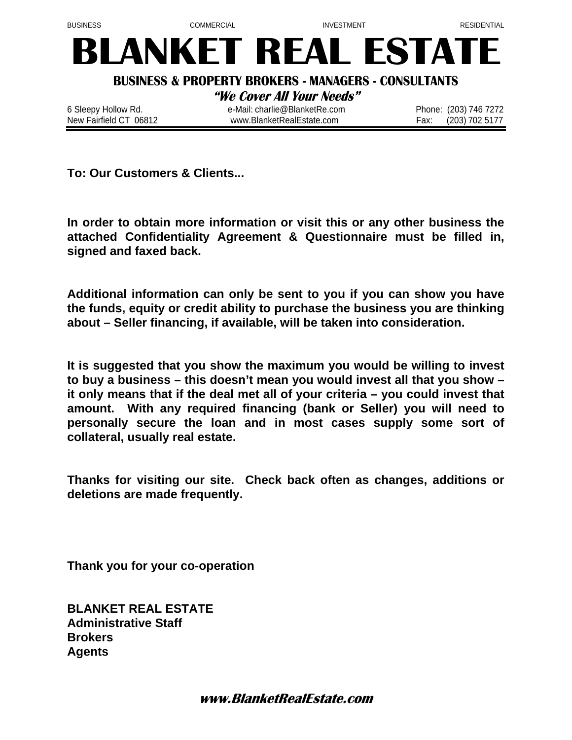

**To: Our Customers & Clients...** 

**In order to obtain more information or visit this or any other business the attached Confidentiality Agreement & Questionnaire must be filled in, signed and faxed back.** 

**Additional information can only be sent to you if you can show you have the funds, equity or credit ability to purchase the business you are thinking about – Seller financing, if available, will be taken into consideration.** 

**It is suggested that you show the maximum you would be willing to invest to buy a business – this doesn't mean you would invest all that you show – it only means that if the deal met all of your criteria – you could invest that amount. With any required financing (bank or Seller) you will need to personally secure the loan and in most cases supply some sort of collateral, usually real estate.** 

**Thanks for visiting our site. Check back often as changes, additions or deletions are made frequently.** 

**Thank you for your co-operation** 

**BLANKET REAL ESTATE Administrative Staff Brokers Agents**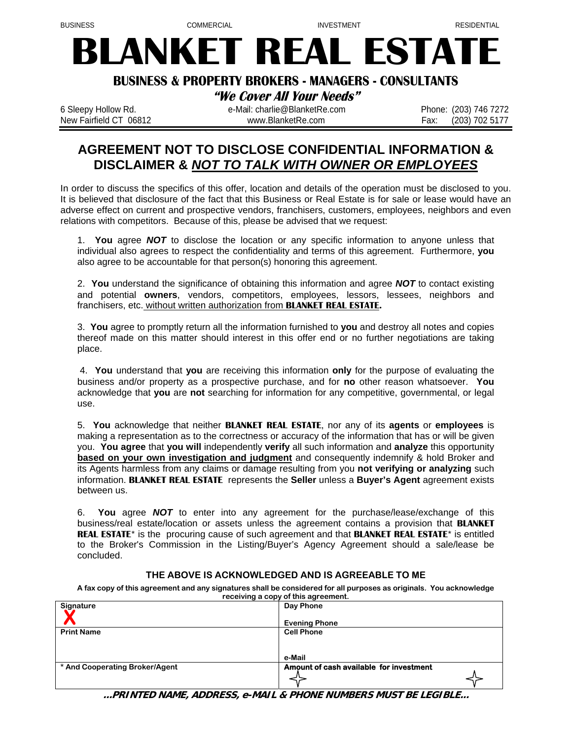# **BLANKET REAL ESTATE**

#### **BUSINESS & PROPERTY BROKERS - MANAGERS - CONSULTANTS**

**"We Cover All Your Needs"** 

6 Sleepy Hollow Rd. e-Mail: charlie@BlanketRe.com Phone: (203) 746 7272 New Fairfield CT 06812 **big and Struck and Taylor With With With Community** COM Fax: (203) 702 5177

# **AGREEMENT NOT TO DISCLOSE CONFIDENTIAL INFORMATION & DISCLAIMER &** *NOT TO TALK WITH OWNER OR EMPLOYEES*

In order to discuss the specifics of this offer, location and details of the operation must be disclosed to you. It is believed that disclosure of the fact that this Business or Real Estate is for sale or lease would have an adverse effect on current and prospective vendors, franchisers, customers, employees, neighbors and even relations with competitors. Because of this, please be advised that we request:

1. **You** agree *NOT* to disclose the location or any specific information to anyone unless that individual also agrees to respect the confidentiality and terms of this agreement. Furthermore, **you** also agree to be accountable for that person(s) honoring this agreement.

2. **You** understand the significance of obtaining this information and agree *NOT* to contact existing and potential **owners**, vendors, competitors, employees, lessors, lessees, neighbors and franchisers, etc. without written authorization from **BLANKET REAL ESTATE.**

3. **You** agree to promptly return all the information furnished to **you** and destroy all notes and copies thereof made on this matter should interest in this offer end or no further negotiations are taking place.

4. **You** understand that **you** are receiving this information **only** for the purpose of evaluating the business and/or property as a prospective purchase, and for **no** other reason whatsoever. **You** acknowledge that **you** are **not** searching for information for any competitive, governmental, or legal use.

5. **You** acknowledge that neither **BLANKET REAL ESTATE**, nor any of its **agents** or **employees** is making a representation as to the correctness or accuracy of the information that has or will be given you. **You agree** that **you will** independently **verify** all such information and **analyze** this opportunity **based on your own investigation and judgment** and consequently indemnify & hold Broker and its Agents harmless from any claims or damage resulting from you **not verifying or analyzing** such information. **BLANKET REAL ESTATE** represents the **Seller** unless a **Buyer's Agent** agreement exists between us.

6. **You** agree *NOT* to enter into any agreement for the purchase/lease/exchange of this business/real estate/location or assets unless the agreement contains a provision that **BLANKET REAL ESTATE\*** is the procuring cause of such agreement and that **BLANKET REAL ESTATE\*** is entitled to the Broker's Commission in the Listing/Buyer's Agency Agreement should a sale/lease be concluded.

#### **THE ABOVE IS ACKNOWLEDGED AND IS AGREEABLE TO ME**

**A fax copy of this agreement and any signatures shall be considered for all purposes as originals. You acknowledge receiving a copy of this agreement.** 

| Signature                      | Day Phone                               |
|--------------------------------|-----------------------------------------|
|                                | <b>Evening Phone</b>                    |
| <b>Print Name</b>              | <b>Cell Phone</b>                       |
|                                |                                         |
|                                | e-Mail                                  |
| * And Cooperating Broker/Agent | Amount of cash available for investment |
|                                |                                         |

**...PRINTED NAME, ADDRESS, e-MAIL & PHONE NUMBERS MUST BE LEGIBLE...**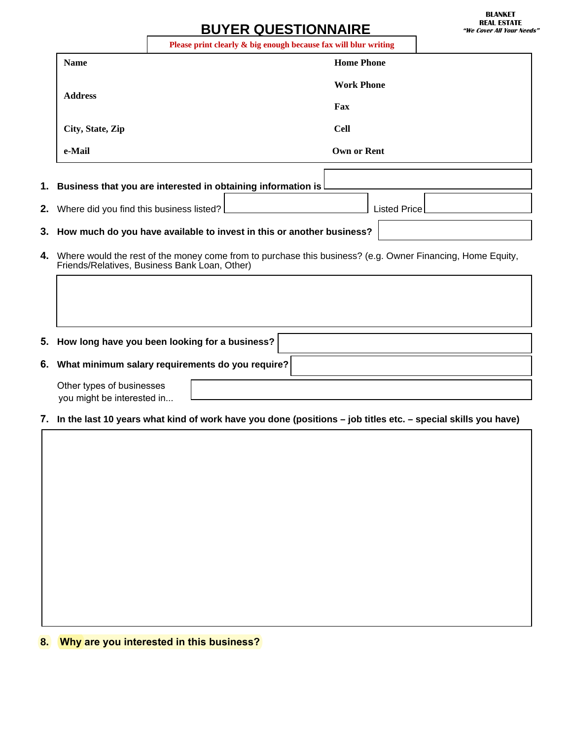# **BUYER QUESTIONNA**

|                  | Please print clearly & big enough because fax will blur writing |                   |  |
|------------------|-----------------------------------------------------------------|-------------------|--|
| <b>Name</b>      |                                                                 | <b>Home Phone</b> |  |
| <b>Address</b>   |                                                                 | <b>Work Phone</b> |  |
|                  |                                                                 | Fax               |  |
| City, State, Zip |                                                                 | Cell              |  |
| e-Mail           |                                                                 | Own or Rent       |  |
|                  |                                                                 |                   |  |
|                  | Business that you are interested in obtaining information is    |                   |  |

# **1. Business that you are interested in obtaining information is**

| 2. Where did you find this business listed? $\lfloor$ | '⊥isted Price⊤ |  |
|-------------------------------------------------------|----------------|--|
|                                                       |                |  |
|                                                       |                |  |

F.

#### **3. How much do you have available to invest in this or another business?**

**4.** Where would the rest of the money come from to purchase this business? (e.g. Owner Financing, Home Equity, Friends/Relatives, Business Bank Loan, Other)

#### **5. How long have you been looking for a business?**

**6. What minimum salary requirements do you require?**

| Other types of businesses  |  |
|----------------------------|--|
| you might be interested in |  |

#### **7. In the last 10 years what kind of work have you done (positions – job titles etc. – special skills you have)**

**8. Why are you interested in this business?**